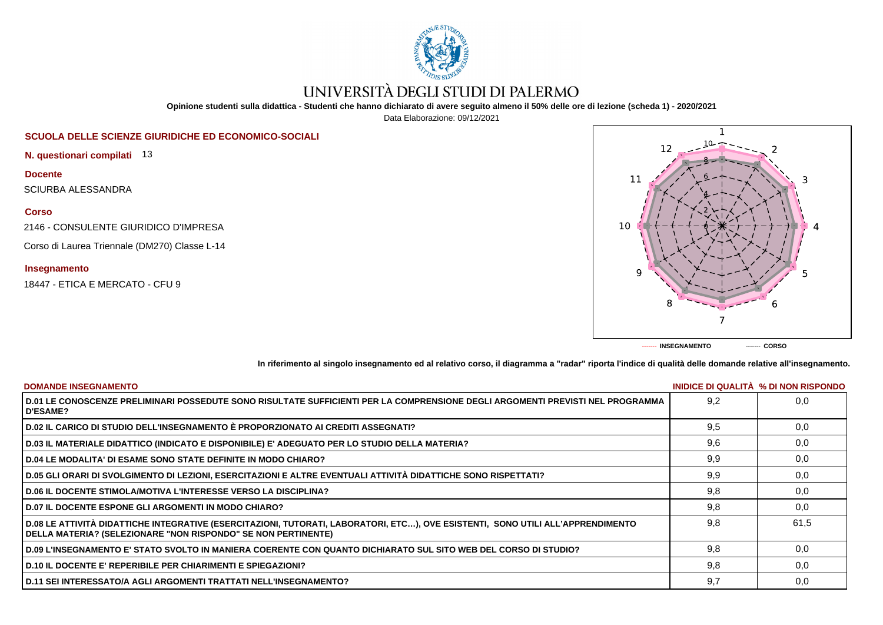

# UNIVERSITÀ DEGLI STUDI DI PALERMO

**Opinione studenti sulla didattica - Studenti che hanno dichiarato di avere seguito almeno il 50% delle ore di lezione (scheda 1) - 2020/2021**

Data Elaborazione: 09/12/2021

## **SCUOLA DELLE SCIENZE GIURIDICHE ED ECONOMICO-SOCIALI**

**N. questionari compilati** 13

**Docente** SCIURBA ALESSANDRA

**Corso**

2146 - CONSULENTE GIURIDICO D'IMPRESA

Corso di Laurea Triennale (DM270) Classe L-14

**Insegnamento**

18447 - ETICA E MERCATO - CFU 9



**In riferimento al singolo insegnamento ed al relativo corso, il diagramma a "radar" riporta l'indice di qualità delle domande relative all'insegnamento.**

| <b>DOMANDE INSEGNAMENTO</b>                                                                                                                                                                             |     | INIDICE DI QUALITA % DI NON RISPONDO |
|---------------------------------------------------------------------------------------------------------------------------------------------------------------------------------------------------------|-----|--------------------------------------|
| D.01 LE CONOSCENZE PRELIMINARI POSSEDUTE SONO RISULTATE SUFFICIENTI PER LA COMPRENSIONE DEGLI ARGOMENTI PREVISTI NEL PROGRAMMA<br><b>D'ESAME?</b>                                                       | 9.2 | 0.0                                  |
| D.02 IL CARICO DI STUDIO DELL'INSEGNAMENTO È PROPORZIONATO AI CREDITI ASSEGNATI?                                                                                                                        | 9.5 | 0,0                                  |
| D.03 IL MATERIALE DIDATTICO (INDICATO E DISPONIBILE) E' ADEGUATO PER LO STUDIO DELLA MATERIA?                                                                                                           | 9,6 | 0,0                                  |
| D.04 LE MODALITA' DI ESAME SONO STATE DEFINITE IN MODO CHIARO?                                                                                                                                          | 9,9 | 0,0                                  |
| D.05 GLI ORARI DI SVOLGIMENTO DI LEZIONI, ESERCITAZIONI E ALTRE EVENTUALI ATTIVITÀ DIDATTICHE SONO RISPETTATI?                                                                                          | 9,9 | 0,0                                  |
| <b>D.06 IL DOCENTE STIMOLA/MOTIVA L'INTERESSE VERSO LA DISCIPLINA?</b>                                                                                                                                  | 9.8 | 0.0                                  |
| <b>D.07 IL DOCENTE ESPONE GLI ARGOMENTI IN MODO CHIARO?</b>                                                                                                                                             | 9,8 | 0.0                                  |
| D.08 LE ATTIVITÀ DIDATTICHE INTEGRATIVE (ESERCITAZIONI, TUTORATI, LABORATORI, ETC), OVE ESISTENTI, SONO UTILI ALL'APPRENDIMENTO<br><b>DELLA MATERIA? (SELEZIONARE "NON RISPONDO" SE NON PERTINENTE)</b> | 9.8 | 61.5                                 |
| D.09 L'INSEGNAMENTO E' STATO SVOLTO IN MANIERA COERENTE CON QUANTO DICHIARATO SUL SITO WEB DEL CORSO DI STUDIO?                                                                                         | 9.8 | 0.0                                  |
| D.10 IL DOCENTE E' REPERIBILE PER CHIARIMENTI E SPIEGAZIONI?                                                                                                                                            | 9,8 | 0.0                                  |
| D.11 SEI INTERESSATO/A AGLI ARGOMENTI TRATTATI NELL'INSEGNAMENTO?                                                                                                                                       | 9,7 | 0,0                                  |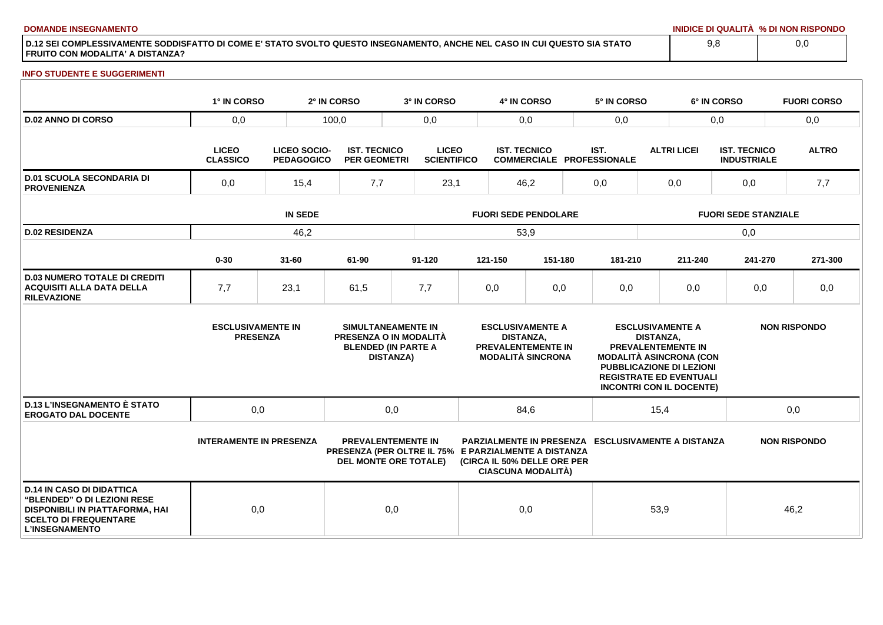**DOMANDE INSEGNAMENTO INIDICE DI QUALITÀ % DI NON RISPONDO**

**D.12 SEI COMPLESSIVAMENTE SODDISFATTO DI COME E' STATO SVOLTO QUESTO INSEGNAMENTO, ANCHE NEL CASO IN CUI QUESTO SIA STATO FRUITO CON MODALITA' A DISTANZA?**

### **INFO STUDENTE E SUGGERIMENTI**

|                                                                                                                                                                    | 1° IN CORSO                                 |                                          | 2° IN CORSO                                | 3° IN CORSO                                                                                                       |                             | 4° IN CORSO         |                                                                           |     | 5° IN CORSO                                               |                             |                                                                                                                                                | 6° IN CORSO                               |  | <b>FUORI CORSO</b>  |
|--------------------------------------------------------------------------------------------------------------------------------------------------------------------|---------------------------------------------|------------------------------------------|--------------------------------------------|-------------------------------------------------------------------------------------------------------------------|-----------------------------|---------------------|---------------------------------------------------------------------------|-----|-----------------------------------------------------------|-----------------------------|------------------------------------------------------------------------------------------------------------------------------------------------|-------------------------------------------|--|---------------------|
| <b>D.02 ANNO DI CORSO</b>                                                                                                                                          | 0,0                                         |                                          | 100,0<br>0,0                               |                                                                                                                   |                             | 0,0                 |                                                                           |     | 0,0                                                       |                             | 0,0                                                                                                                                            |                                           |  | 0,0                 |
|                                                                                                                                                                    | <b>LICEO</b><br><b>CLASSICO</b>             | <b>LICEO SOCIO-</b><br><b>PEDAGOGICO</b> | <b>IST. TECNICO</b><br><b>PER GEOMETRI</b> | <b>LICEO</b><br><b>SCIENTIFICO</b>                                                                                |                             | <b>IST. TECNICO</b> |                                                                           |     | IST.<br><b>COMMERCIALE PROFESSIONALE</b>                  |                             | <b>ALTRI LICEI</b>                                                                                                                             | <b>IST. TECNICO</b><br><b>INDUSTRIALE</b> |  | <b>ALTRO</b>        |
| <b>D.01 SCUOLA SECONDARIA DI</b><br><b>PROVENIENZA</b>                                                                                                             | 0,0<br>15,4                                 |                                          | 7,7                                        |                                                                                                                   | 23,1<br>46,2                |                     |                                                                           | 0,0 |                                                           | 0,0                         |                                                                                                                                                | 0,0                                       |  | 7,7                 |
|                                                                                                                                                                    | <b>IN SEDE</b>                              |                                          |                                            |                                                                                                                   | <b>FUORI SEDE PENDOLARE</b> |                     |                                                                           |     |                                                           | <b>FUORI SEDE STANZIALE</b> |                                                                                                                                                |                                           |  |                     |
| <b>D.02 RESIDENZA</b>                                                                                                                                              |                                             | 46,2                                     |                                            |                                                                                                                   | 53,9                        |                     |                                                                           |     |                                                           |                             |                                                                                                                                                | 0,0                                       |  |                     |
|                                                                                                                                                                    | $0 - 30$                                    | $31 - 60$                                | 61-90                                      | $91 - 120$                                                                                                        |                             | 121-150             | 151-180                                                                   |     | 181-210                                                   |                             | 211-240                                                                                                                                        | 241-270                                   |  | 271-300             |
| <b>D.03 NUMERO TOTALE DI CREDITI</b><br><b>ACQUISITI ALLA DATA DELLA</b><br><b>RILEVAZIONE</b>                                                                     | 7,7                                         | 23,1                                     | 61,5                                       | 7,7                                                                                                               |                             | 0,0                 | 0,0                                                                       |     | 0,0                                                       |                             | 0,0                                                                                                                                            | 0,0                                       |  | 0,0                 |
|                                                                                                                                                                    | <b>ESCLUSIVAMENTE IN</b><br><b>PRESENZA</b> |                                          |                                            | SIMULTANEAMENTE IN<br>PRESENZA O IN MODALITÀ<br><b>BLENDED (IN PARTE A</b><br><b>DISTANZA)</b>                    |                             | <b>DISTANZA.</b>    | <b>ESCLUSIVAMENTE A</b><br>PREVALENTEMENTE IN<br><b>MODALITÀ SINCRONA</b> |     | <b>MODALITÀ ASINCRONA (CON</b>                            | <b>DISTANZA.</b>            | <b>ESCLUSIVAMENTE A</b><br>PREVALENTEMENTE IN<br>PUBBLICAZIONE DI LEZIONI<br><b>REGISTRATE ED EVENTUALI</b><br><b>INCONTRI CON IL DOCENTE)</b> |                                           |  | <b>NON RISPONDO</b> |
| <b>D.13 L'INSEGNAMENTO È STATO</b><br><b>EROGATO DAL DOCENTE</b>                                                                                                   | 0,0                                         |                                          |                                            | 0,0                                                                                                               |                             | 84,6                |                                                                           |     | 15,4                                                      |                             |                                                                                                                                                | 0,0                                       |  |                     |
|                                                                                                                                                                    | <b>INTERAMENTE IN PRESENZA</b>              |                                          |                                            | <b>PREVALENTEMENTE IN</b><br>PRESENZA (PER OLTRE IL 75% E PARZIALMENTE A DISTANZA<br><b>DEL MONTE ORE TOTALE)</b> |                             |                     | (CIRCA IL 50% DELLE ORE PER<br><b>CIASCUNA MODALITÀ)</b>                  |     | <b>PARZIALMENTE IN PRESENZA ESCLUSIVAMENTE A DISTANZA</b> |                             |                                                                                                                                                |                                           |  | <b>NON RISPONDO</b> |
| <b>D.14 IN CASO DI DIDATTICA</b><br>"BLENDED" O DI LEZIONI RESE<br><b>DISPONIBILI IN PIATTAFORMA, HAI</b><br><b>SCELTO DI FREQUENTARE</b><br><b>L'INSEGNAMENTO</b> | 0,0                                         |                                          |                                            | 0,0                                                                                                               |                             | 0,0                 |                                                                           |     |                                                           | 53,9                        |                                                                                                                                                |                                           |  | 46,2                |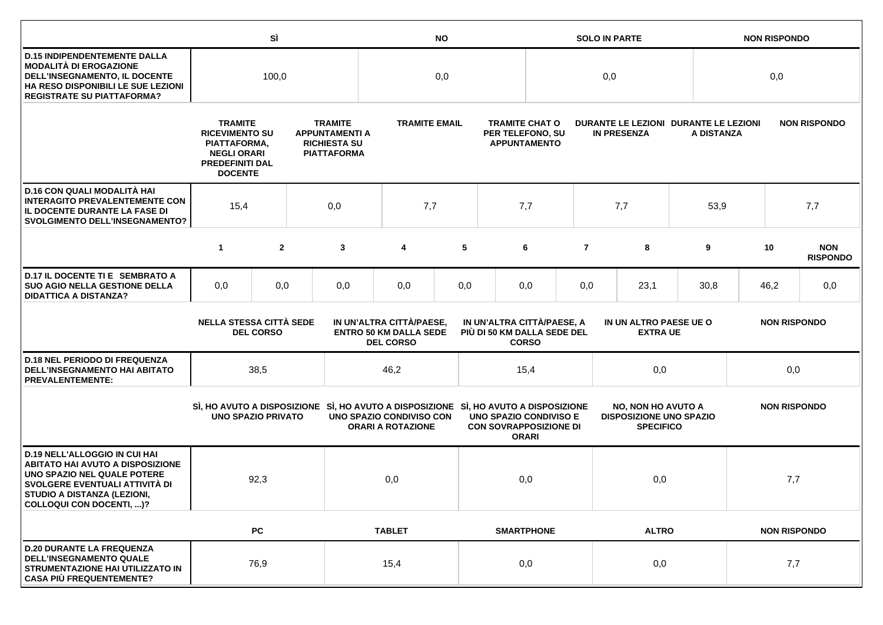|                                                                                                                                                                                                             |                                                                                                                                                                                                                   | SÌ               |     | <b>NO</b>                                                                           |                                                                               |     |                                                                |                                              | <b>SOLO IN PARTE</b> |                                                                                 |              |                     | <b>NON RISPONDO</b>                                                        |                     |     |   |  |    |                               |
|-------------------------------------------------------------------------------------------------------------------------------------------------------------------------------------------------------------|-------------------------------------------------------------------------------------------------------------------------------------------------------------------------------------------------------------------|------------------|-----|-------------------------------------------------------------------------------------|-------------------------------------------------------------------------------|-----|----------------------------------------------------------------|----------------------------------------------|----------------------|---------------------------------------------------------------------------------|--------------|---------------------|----------------------------------------------------------------------------|---------------------|-----|---|--|----|-------------------------------|
| <b>D.15 INDIPENDENTEMENTE DALLA</b><br><b>MODALITÀ DI EROGAZIONE</b><br>DELL'INSEGNAMENTO, IL DOCENTE<br>HA RESO DISPONIBILI LE SUE LEZIONI<br><b>REGISTRATE SU PIATTAFORMA?</b>                            | 100,0                                                                                                                                                                                                             |                  |     |                                                                                     | 0,0                                                                           |     |                                                                |                                              | 0,0                  |                                                                                 |              |                     | 0,0                                                                        |                     |     |   |  |    |                               |
|                                                                                                                                                                                                             | <b>TRAMITE</b><br><b>TRAMITE</b><br><b>RICEVIMENTO SU</b><br><b>APPUNTAMENTI A</b><br><b>RICHIESTA SU</b><br>PIATTAFORMA,<br><b>NEGLI ORARI</b><br><b>PIATTAFORMA</b><br><b>PREDEFINITI DAL</b><br><b>DOCENTE</b> |                  |     |                                                                                     | <b>TRAMITE EMAIL</b><br>PER TELEFONO, SU                                      |     |                                                                | <b>TRAMITE CHAT O</b><br><b>APPUNTAMENTO</b> |                      | <b>IN PRESENZA</b>                                                              |              |                     | DURANTE LE LEZIONI DURANTE LE LEZIONI<br><b>NON RISPONDO</b><br>A DISTANZA |                     |     |   |  |    |                               |
| D.16 CON QUALI MODALITÀ HAI<br><b>INTERAGITO PREVALENTEMENTE CON</b><br>IL DOCENTE DURANTE LA FASE DI<br><b>SVOLGIMENTO DELL'INSEGNAMENTO?</b>                                                              | 15,4                                                                                                                                                                                                              |                  | 0,0 | 7,7                                                                                 |                                                                               | 7,7 |                                                                |                                              | 7,7                  |                                                                                 | 53,9         |                     |                                                                            | 7,7                 |     |   |  |    |                               |
|                                                                                                                                                                                                             | $\mathbf{1}$                                                                                                                                                                                                      | $\overline{2}$   |     | 3                                                                                   | 4                                                                             | 5   |                                                                | 6                                            | $\overline{7}$       | 8                                                                               |              |                     |                                                                            |                     |     | 9 |  | 10 | <b>NON</b><br><b>RISPONDO</b> |
| D.17 IL DOCENTE TI E SEMBRATO A<br><b>SUO AGIO NELLA GESTIONE DELLA</b><br><b>DIDATTICA A DISTANZA?</b>                                                                                                     | 0,0                                                                                                                                                                                                               | 0,0              |     | 0,0                                                                                 | 0,0                                                                           | 0,0 |                                                                | 0,0                                          | 0,0                  | 23,1                                                                            |              | 30,8                |                                                                            | 46,2                | 0,0 |   |  |    |                               |
|                                                                                                                                                                                                             | <b>NELLA STESSA CITTÀ SEDE</b>                                                                                                                                                                                    | <b>DEL CORSO</b> |     |                                                                                     | IN UN'ALTRA CITTÀ/PAESE,<br><b>ENTRO 50 KM DALLA SEDE</b><br><b>DEL CORSO</b> |     | IN UN'ALTRA CITTÀ/PAESE, A<br>PIÙ DI 50 KM DALLA SEDE DEL      | <b>CORSO</b>                                 |                      | IN UN ALTRO PAESE UE O<br><b>EXTRA UE</b>                                       |              |                     |                                                                            | <b>NON RISPONDO</b> |     |   |  |    |                               |
| <b>D.18 NEL PERIODO DI FREQUENZA</b><br><b>DELL'INSEGNAMENTO HAI ABITATO</b><br><b>PREVALENTEMENTE:</b>                                                                                                     |                                                                                                                                                                                                                   | 38,5             |     |                                                                                     | 46,2                                                                          |     |                                                                | 15,4                                         |                      | 0,0                                                                             |              | 0,0                 |                                                                            |                     |     |   |  |    |                               |
|                                                                                                                                                                                                             | <b>UNO SPAZIO PRIVATO</b>                                                                                                                                                                                         |                  |     | SI, HO AVUTO A DISPOSIZIONE SI, HO AVUTO A DISPOSIZIONE SI, HO AVUTO A DISPOSIZIONE | UNO SPAZIO CONDIVISO CON<br><b>ORARI A ROTAZIONE</b>                          |     | <b>UNO SPAZIO CONDIVISO E</b><br><b>CON SOVRAPPOSIZIONE DI</b> | <b>ORARI</b>                                 |                      | <b>NO, NON HO AVUTO A</b><br><b>DISPOSIZIONE UNO SPAZIO</b><br><b>SPECIFICO</b> |              |                     | <b>NON RISPONDO</b>                                                        |                     |     |   |  |    |                               |
| <b>D.19 NELL'ALLOGGIO IN CUI HAI</b><br><b>ABITATO HAI AVUTO A DISPOSIZIONE</b><br>UNO SPAZIO NEL QUALE POTERE<br>SVOLGERE EVENTUALI ATTIVITÀ DI<br>STUDIO A DISTANZA (LEZIONI,<br>COLLOQUI CON DOCENTI, )? |                                                                                                                                                                                                                   | 92,3             |     |                                                                                     | 0,0                                                                           |     |                                                                | 0,0                                          |                      | 0,0                                                                             |              | 7,7                 |                                                                            |                     |     |   |  |    |                               |
|                                                                                                                                                                                                             |                                                                                                                                                                                                                   | <b>PC</b>        |     |                                                                                     | <b>TABLET</b>                                                                 |     |                                                                | <b>SMARTPHONE</b>                            |                      |                                                                                 | <b>ALTRO</b> | <b>NON RISPONDO</b> |                                                                            |                     |     |   |  |    |                               |
| <b>D.20 DURANTE LA FREQUENZA</b><br><b>DELL'INSEGNAMENTO QUALE</b><br>STRUMENTAZIONE HAI UTILIZZATO IN<br><b>CASA PIÙ FREQUENTEMENTE?</b>                                                                   |                                                                                                                                                                                                                   | 76,9             |     |                                                                                     | 15,4                                                                          |     |                                                                | 0,0                                          |                      | 0,0                                                                             |              | 7,7                 |                                                                            |                     |     |   |  |    |                               |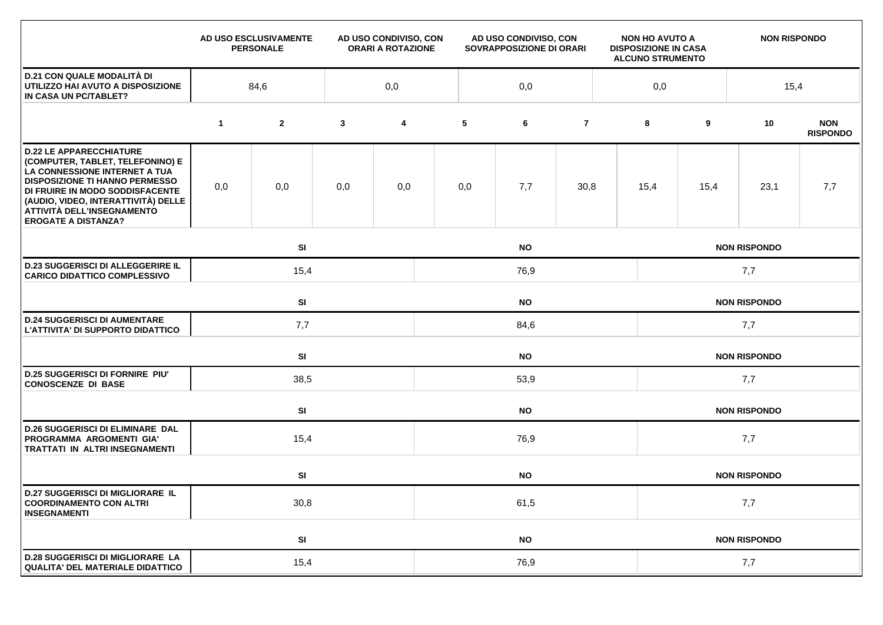|                                                                                                                                                                                                                                                                                    |             | AD USO ESCLUSIVAMENTE<br><b>PERSONALE</b> |              | AD USO CONDIVISO, CON<br>AD USO CONDIVISO, CON<br><b>ORARI A ROTAZIONE</b><br>SOVRAPPOSIZIONE DI ORARI |                                  |           | <b>NON HO AVUTO A</b><br><b>DISPOSIZIONE IN CASA</b><br><b>ALCUNO STRUMENTO</b> |                     | <b>NON RISPONDO</b> |                     |                     |                               |  |  |
|------------------------------------------------------------------------------------------------------------------------------------------------------------------------------------------------------------------------------------------------------------------------------------|-------------|-------------------------------------------|--------------|--------------------------------------------------------------------------------------------------------|----------------------------------|-----------|---------------------------------------------------------------------------------|---------------------|---------------------|---------------------|---------------------|-------------------------------|--|--|
| <b>D.21 CON QUALE MODALITÀ DI</b><br>UTILIZZO HAI AVUTO A DISPOSIZIONE<br>IN CASA UN PC/TABLET?                                                                                                                                                                                    |             | 84,6                                      |              | 0,0                                                                                                    |                                  | 0,0       |                                                                                 |                     | 0,0                 |                     | 15,4                |                               |  |  |
|                                                                                                                                                                                                                                                                                    | $\mathbf 1$ | $\mathbf{2}$                              | $\mathbf{3}$ | 4                                                                                                      | 5                                | 6         | $\overline{7}$                                                                  |                     | 8                   | 9                   | 10                  | <b>NON</b><br><b>RISPONDO</b> |  |  |
| <b>D.22 LE APPARECCHIATURE</b><br>(COMPUTER, TABLET, TELEFONINO) E<br>LA CONNESSIONE INTERNET A TUA<br><b>DISPOSIZIONE TI HANNO PERMESSO</b><br>DI FRUIRE IN MODO SODDISFACENTE<br>(AUDIO, VIDEO, INTERATTIVITÀ) DELLE<br>ATTIVITÀ DELL'INSEGNAMENTO<br><b>EROGATE A DISTANZA?</b> | 0,0         | 0,0                                       | 0,0          | 0,0                                                                                                    | 0,0                              | 7,7       | 30,8                                                                            |                     | 15,4                | 15,4                | 23,1                | 7,7                           |  |  |
|                                                                                                                                                                                                                                                                                    |             | SI<br><b>NO</b>                           |              |                                                                                                        |                                  |           |                                                                                 |                     |                     |                     | <b>NON RISPONDO</b> |                               |  |  |
| <b>D.23 SUGGERISCI DI ALLEGGERIRE IL</b><br><b>CARICO DIDATTICO COMPLESSIVO</b>                                                                                                                                                                                                    |             | 15,4<br>76,9                              |              |                                                                                                        |                                  |           |                                                                                 |                     | 7,7                 |                     |                     |                               |  |  |
|                                                                                                                                                                                                                                                                                    |             | SI<br><b>NO</b>                           |              |                                                                                                        |                                  |           |                                                                                 |                     |                     | <b>NON RISPONDO</b> |                     |                               |  |  |
| <b>D.24 SUGGERISCI DI AUMENTARE</b><br>L'ATTIVITA' DI SUPPORTO DIDATTICO                                                                                                                                                                                                           |             | 7,7                                       |              |                                                                                                        | 84,6                             |           |                                                                                 |                     |                     | 7,7                 |                     |                               |  |  |
|                                                                                                                                                                                                                                                                                    |             | SI                                        |              |                                                                                                        | <b>NO</b><br><b>NON RISPONDO</b> |           |                                                                                 |                     |                     |                     |                     |                               |  |  |
| <b>D.25 SUGGERISCI DI FORNIRE PIU'</b><br><b>CONOSCENZE DI BASE</b>                                                                                                                                                                                                                |             | 38,5                                      |              |                                                                                                        | 53,9                             |           |                                                                                 |                     |                     | 7,7                 |                     |                               |  |  |
|                                                                                                                                                                                                                                                                                    |             | SI                                        |              |                                                                                                        |                                  | <b>NO</b> |                                                                                 | <b>NON RISPONDO</b> |                     |                     |                     |                               |  |  |
| <b>D.26 SUGGERISCI DI ELIMINARE DAL</b><br>PROGRAMMA ARGOMENTI GIA'<br>TRATTATI IN ALTRI INSEGNAMENTI                                                                                                                                                                              |             | 15,4                                      | 76,9         |                                                                                                        |                                  |           |                                                                                 |                     | 7,7                 |                     |                     |                               |  |  |
|                                                                                                                                                                                                                                                                                    |             | SI                                        |              |                                                                                                        | <b>NO</b><br><b>NON RISPONDO</b> |           |                                                                                 |                     |                     |                     |                     |                               |  |  |
| <b>D.27 SUGGERISCI DI MIGLIORARE IL</b><br><b>COORDINAMENTO CON ALTRI</b><br><b>INSEGNAMENTI</b>                                                                                                                                                                                   |             | 30,8                                      |              |                                                                                                        | 61,5                             |           |                                                                                 |                     |                     | 7,7                 |                     |                               |  |  |
|                                                                                                                                                                                                                                                                                    |             | SI                                        |              |                                                                                                        |                                  | <b>NO</b> |                                                                                 |                     |                     |                     | <b>NON RISPONDO</b> |                               |  |  |
| <b>D.28 SUGGERISCI DI MIGLIORARE LA</b><br><b>QUALITA' DEL MATERIALE DIDATTICO</b>                                                                                                                                                                                                 |             | 15,4                                      |              |                                                                                                        | 76,9                             |           |                                                                                 |                     |                     | 7,7                 |                     |                               |  |  |